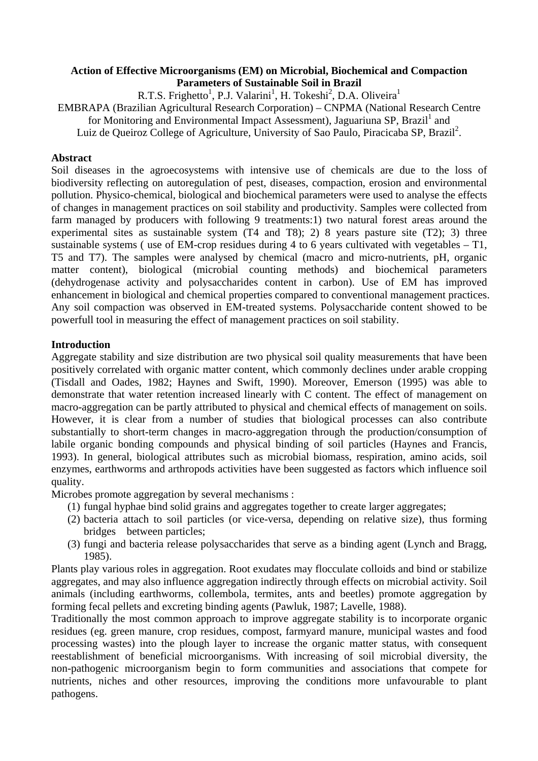### **Action of Effective Microorganisms (EM) on Microbial, Biochemical and Compaction Parameters of Sustainable Soil in Brazil**

R.T.S. Frighetto<sup>1</sup>, P.J. Valarini<sup>1</sup>, H. Tokeshi<sup>2</sup>, D.A. Oliveira<sup>1</sup>

EMBRAPA (Brazilian Agricultural Research Corporation) – CNPMA (National Research Centre for Monitoring and Environmental Impact Assessment), Jaguariuna SP, Brazil<sup>1</sup> and Luiz de Queiroz College of Agriculture, University of Sao Paulo, Piracicaba SP, Brazil<sup>2</sup>.

### **Abstract**

Soil diseases in the agroecosystems with intensive use of chemicals are due to the loss of biodiversity reflecting on autoregulation of pest, diseases, compaction, erosion and environmental pollution. Physico-chemical, biological and biochemical parameters were used to analyse the effects of changes in management practices on soil stability and productivity. Samples were collected from farm managed by producers with following 9 treatments:1) two natural forest areas around the experimental sites as sustainable system (T4 and T8); 2) 8 years pasture site (T2); 3) three sustainable systems ( use of EM-crop residues during 4 to 6 years cultivated with vegetables – T1, T5 and T7). The samples were analysed by chemical (macro and micro-nutrients, pH, organic matter content), biological (microbial counting methods) and biochemical parameters (dehydrogenase activity and polysaccharides content in carbon). Use of EM has improved enhancement in biological and chemical properties compared to conventional management practices. Any soil compaction was observed in EM-treated systems. Polysaccharide content showed to be powerfull tool in measuring the effect of management practices on soil stability.

## **Introduction**

Aggregate stability and size distribution are two physical soil quality measurements that have been positively correlated with organic matter content, which commonly declines under arable cropping (Tisdall and Oades, 1982; Haynes and Swift, 1990). Moreover, Emerson (1995) was able to demonstrate that water retention increased linearly with C content. The effect of management on macro-aggregation can be partly attributed to physical and chemical effects of management on soils. However, it is clear from a number of studies that biological processes can also contribute substantially to short-term changes in macro-aggregation through the production/consumption of labile organic bonding compounds and physical binding of soil particles (Haynes and Francis, 1993). In general, biological attributes such as microbial biomass, respiration, amino acids, soil enzymes, earthworms and arthropods activities have been suggested as factors which influence soil quality.

Microbes promote aggregation by several mechanisms :

- (1) fungal hyphae bind solid grains and aggregates together to create larger aggregates;
- (2) bacteria attach to soil particles (or vice-versa, depending on relative size), thus forming bridges between particles;
- (3) fungi and bacteria release polysaccharides that serve as a binding agent (Lynch and Bragg, 1985).

Plants play various roles in aggregation. Root exudates may flocculate colloids and bind or stabilize aggregates, and may also influence aggregation indirectly through effects on microbial activity. Soil animals (including earthworms, collembola, termites, ants and beetles) promote aggregation by forming fecal pellets and excreting binding agents (Pawluk, 1987; Lavelle, 1988).

Traditionally the most common approach to improve aggregate stability is to incorporate organic residues (eg. green manure, crop residues, compost, farmyard manure, municipal wastes and food processing wastes) into the plough layer to increase the organic matter status, with consequent reestablishment of beneficial microorganisms. With increasing of soil microbial diversity, the non-pathogenic microorganism begin to form communities and associations that compete for nutrients, niches and other resources, improving the conditions more unfavourable to plant pathogens.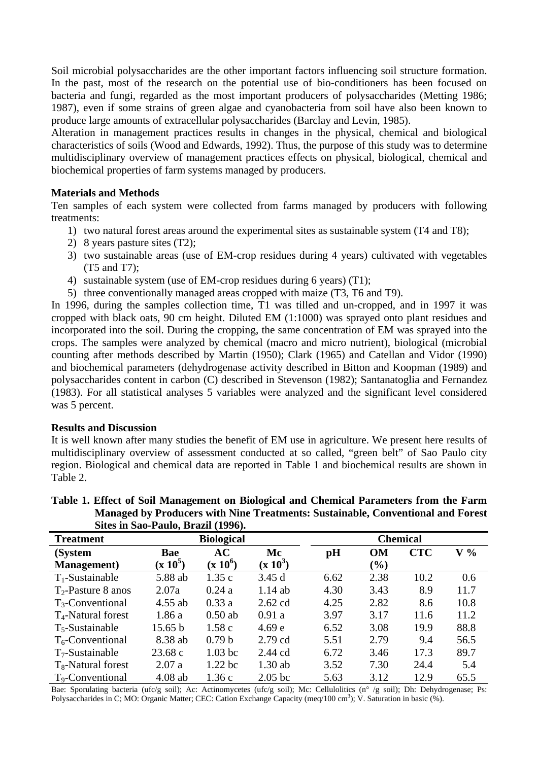Soil microbial polysaccharides are the other important factors influencing soil structure formation. In the past, most of the research on the potential use of bio-conditioners has been focused on bacteria and fungi, regarded as the most important producers of polysaccharides (Metting 1986; 1987), even if some strains of green algae and cyanobacteria from soil have also been known to produce large amounts of extracellular polysaccharides (Barclay and Levin, 1985).

Alteration in management practices results in changes in the physical, chemical and biological characteristics of soils (Wood and Edwards, 1992). Thus, the purpose of this study was to determine multidisciplinary overview of management practices effects on physical, biological, chemical and biochemical properties of farm systems managed by producers.

## **Materials and Methods**

Ten samples of each system were collected from farms managed by producers with following treatments:

- 1) two natural forest areas around the experimental sites as sustainable system (T4 and T8);
- 2) 8 years pasture sites (T2);
- 3) two sustainable areas (use of EM-crop residues during 4 years) cultivated with vegetables (T5 and T7);
- 4) sustainable system (use of EM-crop residues during 6 years) (T1);
- 5) three conventionally managed areas cropped with maize (T3, T6 and T9).

In 1996, during the samples collection time, T1 was tilled and un-cropped, and in 1997 it was cropped with black oats, 90 cm height. Diluted EM (1:1000) was sprayed onto plant residues and incorporated into the soil. During the cropping, the same concentration of EM was sprayed into the crops. The samples were analyzed by chemical (macro and micro nutrient), biological (microbial counting after methods described by Martin (1950); Clark (1965) and Catellan and Vidor (1990) and biochemical parameters (dehydrogenase activity described in Bitton and Koopman (1989) and polysaccharides content in carbon (C) described in Stevenson (1982); Santanatoglia and Fernandez (1983). For all statistical analyses 5 variables were analyzed and the significant level considered was 5 percent.

#### **Results and Discussion**

It is well known after many studies the benefit of EM use in agriculture. We present here results of multidisciplinary overview of assessment conducted at so called, "green belt" of Sao Paulo city region. Biological and chemical data are reported in Table 1 and biochemical results are shown in Table 2.

| Sites in Sao-Paulo, Brazil (1990). |            |                    |            |                 |                              |            |       |
|------------------------------------|------------|--------------------|------------|-----------------|------------------------------|------------|-------|
| <b>Treatment</b>                   |            | <b>Biological</b>  |            | <b>Chemical</b> |                              |            |       |
| (System                            | Bae        | AC                 | Mc         | pH              | <b>OM</b>                    | <b>CTC</b> | $V\%$ |
| <b>Management</b> )                | $(x 10^5)$ | $(x 10^6)$         | $(x 10^3)$ |                 | $\left( \frac{6}{2} \right)$ |            |       |
| $T_1$ -Sustainable                 | 5.88 ab    | 1.35c              | 3.45d      | 6.62            | 2.38                         | 10.2       | 0.6   |
| $T_2$ -Pasture 8 anos              | 2.07a      | 0.24a              | $1.14$ ab  | 4.30            | 3.43                         | 8.9        | 11.7  |
| $T_3$ -Conventional                | $4.55$ ab  | 0.33a              | $2.62$ cd  | 4.25            | 2.82                         | 8.6        | 10.8  |
| $T_4$ -Natural forest              | 1.86a      | $0.50$ ab          | 0.91a      | 3.97            | 3.17                         | 11.6       | 11.2  |
| $T_5$ -Sustainable                 | 15.65 b    | 1.58c              | 4.69e      | 6.52            | 3.08                         | 19.9       | 88.8  |
| $T_6$ -Conventional                | 8.38 ab    | 0.79 <sub>b</sub>  | 2.79 cd    | 5.51            | 2.79                         | 9.4        | 56.5  |
| $T7$ -Sustainable                  | 23.68c     | 1.03 bc            | $2.44$ cd  | 6.72            | 3.46                         | 17.3       | 89.7  |
| $T_8$ -Natural forest              | 2.07a      | 1.22 <sub>bc</sub> | $1.30$ ab  | 3.52            | 7.30                         | 24.4       | 5.4   |
| T <sub>9</sub> -Conventional       | $4.08$ ab  | 1.36c              | $2.05$ bc  | 5.63            | 3.12                         | 12.9       | 65.5  |

#### **Table 1. Effect of Soil Management on Biological and Chemical Parameters from the Farm Managed by Producers with Nine Treatments: Sustainable, Conventional and Forest Sites in Sao-Paulo, Brazil (1996).**

Bae: Sporulating bacteria (ufc/g soil); Ac: Actinomycetes (ufc/g soil); Mc: Cellulolitics (n° /g soil); Dh: Dehydrogenase; Ps: Polysaccharides in C; MO: Organic Matter; CEC: Cation Exchange Capacity (meq/100 cm<sup>3</sup>); V. Saturation in basic (%).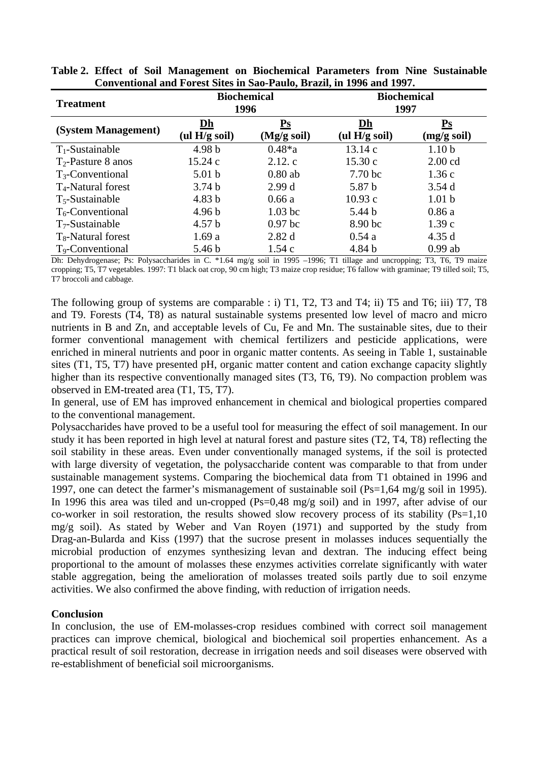| <b>Treatment</b>             | <b>Biochemical</b><br>1996 |                                                   | <b>Biochemical</b><br>1997 |                              |  |
|------------------------------|----------------------------|---------------------------------------------------|----------------------------|------------------------------|--|
| (System Management)          | Dh<br>(ul $H/g$ soil)      | $\mathbf{P}\mathbf{s}$<br>$(Mg/g\,\mathrm{soil})$ | Dh<br>(ul $H/g$ soil)      | $\mathbf{Ps}$<br>(mg/g soil) |  |
| $T_1$ -Sustainable           | 4.98 <sub>b</sub>          | $0.48 * a$                                        | 13.14c                     | 1.10 <sub>b</sub>            |  |
| $T_2$ -Pasture 8 anos        | 15.24c                     | 2.12.c                                            | 15.30c                     | $2.00$ cd                    |  |
| $T_3$ -Conventional          | 5.01 <sub>b</sub>          | $0.80$ ab                                         | 7.70 <sub>bc</sub>         | 1.36c                        |  |
| $T_4$ -Natural forest        | 3.74 <sub>b</sub>          | 2.99d                                             | 5.87 b                     | 3.54d                        |  |
| $T_5$ -Sustainable           | 4.83 <sub>b</sub>          | 0.66a                                             | 10.93c                     | 1.01 <sub>b</sub>            |  |
| $T_6$ -Conventional          | 4.96 <sub>b</sub>          | $1.03$ bc                                         | 5.44 b                     | 0.86a                        |  |
| $T_7$ -Sustainable           | 4.57 <sub>b</sub>          | $0.97$ bc                                         | 8.90 bc                    | 1.39c                        |  |
| $T_8$ -Natural forest        | 1.69a                      | 2.82d                                             | 0.54a                      | 4.35d                        |  |
| T <sub>9</sub> -Conventional | 5.46 <sub>b</sub>          | 1.54c                                             | 4.84 b                     | $0.99$ ab                    |  |

**Table 2. Effect of Soil Management on Biochemical Parameters from Nine Sustainable Conventional and Forest Sites in Sao-Paulo, Brazil, in 1996 and 1997.** 

Dh: Dehydrogenase; Ps: Polysaccharides in C. \*1.64 mg/g soil in 1995 –1996; T1 tillage and uncropping; T3, T6, T9 maize cropping; T5, T7 vegetables. 1997: T1 black oat crop, 90 cm high; T3 maize crop residue; T6 fallow with graminae; T9 tilled soil; T5, T7 broccoli and cabbage.

The following group of systems are comparable : i) T1, T2, T3 and T4; ii) T5 and T6; iii) T7, T8 and T9. Forests (T4, T8) as natural sustainable systems presented low level of macro and micro nutrients in B and Zn, and acceptable levels of Cu, Fe and Mn. The sustainable sites, due to their former conventional management with chemical fertilizers and pesticide applications, were enriched in mineral nutrients and poor in organic matter contents. As seeing in Table 1, sustainable sites (T1, T5, T7) have presented pH, organic matter content and cation exchange capacity slightly higher than its respective conventionally managed sites (T3, T6, T9). No compaction problem was observed in EM-treated area (T1, T5, T7).

In general, use of EM has improved enhancement in chemical and biological properties compared to the conventional management.

Polysaccharides have proved to be a useful tool for measuring the effect of soil management. In our study it has been reported in high level at natural forest and pasture sites (T2, T4, T8) reflecting the soil stability in these areas. Even under conventionally managed systems, if the soil is protected with large diversity of vegetation, the polysaccharide content was comparable to that from under sustainable management systems. Comparing the biochemical data from T1 obtained in 1996 and 1997, one can detect the farmer's mismanagement of sustainable soil (Ps=1,64 mg/g soil in 1995). In 1996 this area was tiled and un-cropped (Ps=0,48 mg/g soil) and in 1997, after advise of our co-worker in soil restoration, the results showed slow recovery process of its stability (Ps=1,10  $mg/g$  soil). As stated by Weber and Van Royen (1971) and supported by the study from Drag-an-Bularda and Kiss (1997) that the sucrose present in molasses induces sequentially the microbial production of enzymes synthesizing levan and dextran. The inducing effect being proportional to the amount of molasses these enzymes activities correlate significantly with water stable aggregation, being the amelioration of molasses treated soils partly due to soil enzyme activities. We also confirmed the above finding, with reduction of irrigation needs.

# **Conclusion**

In conclusion, the use of EM-molasses-crop residues combined with correct soil management practices can improve chemical, biological and biochemical soil properties enhancement. As a practical result of soil restoration, decrease in irrigation needs and soil diseases were observed with re-establishment of beneficial soil microorganisms.